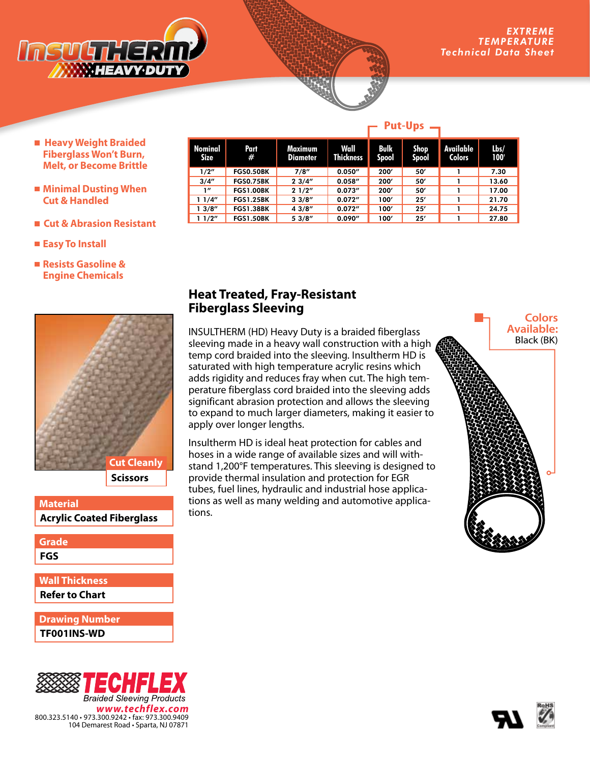

- **Heavy Weight Braided Fiberglass Won't Burn, Melt, or Become Brittle**
- **Minimal Dusting When Cut & Handled**
- **Cut & Abrasion Resistant**
- **Easy To Install**
- **Resists Gasoline & Engine Chemicals**



**Material** 



| Grade                 |  |
|-----------------------|--|
| FGS                   |  |
|                       |  |
| <b>Wall Thickness</b> |  |
| Refer to Chart        |  |
|                       |  |

**TF001INS-WD Drawing Number**



|                 |                  |                            | .                        |               |                      |                            |                                   |
|-----------------|------------------|----------------------------|--------------------------|---------------|----------------------|----------------------------|-----------------------------------|
| Nominal<br>Size | Part<br>#        | Maximum<br><b>Diameter</b> | Wall<br><b>Thickness</b> | Bulk<br>Spool | <b>Shop</b><br>Spool | Available<br><b>Colors</b> | $\mathbf{L}\mathbf{b}$ s/<br>100' |
| 1/2"            | <b>FGS0.50BK</b> | 7/8"                       | 0.050''                  | 200'          | 50'                  |                            | 7.30                              |
| 3/4''           | <b>FGS0.75BK</b> | 23/4"                      | 0.058''                  | 200'          | 50'                  |                            | 13.60                             |
| $\mathbf{I}''$  | <b>FGS1.00BK</b> | 21/2"                      | 0.073''                  | 200'          | 50                   |                            | 17.00                             |
| 11/4"           | <b>FGS1.25BK</b> | 33/8''                     | 0.072''                  | 100'          | 25'                  |                            | 21.70                             |
| 13/8''          | <b>FGS1.38BK</b> | 43/8''                     | 0.072''                  | 100'          | 25'                  |                            | 24.75                             |
| 11/2"           | <b>FGS1.50BK</b> | 53/8''                     | 0.090''                  | 100'          | 25'                  |                            | 27.80                             |

**Put-Ups**

## **Heat Treated, Fray-Resistant Fiberglass Sleeving**

INSULTHERM (HD) Heavy Duty is a braided fiberglass sleeving made in a heavy wall construction with a high temp cord braided into the sleeving. Insultherm HD is saturated with high temperature acrylic resins which adds rigidity and reduces fray when cut. The high temperature fiberglass cord braided into the sleeving adds significant abrasion protection and allows the sleeving to expand to much larger diameters, making it easier to apply over longer lengths.

Insultherm HD is ideal heat protection for cables and hoses in a wide range of available sizes and will withstand 1,200°F temperatures. This sleeving is designed to provide thermal insulation and protection for EGR tubes, fuel lines, hydraulic and industrial hose applications as well as many welding and automotive applications.